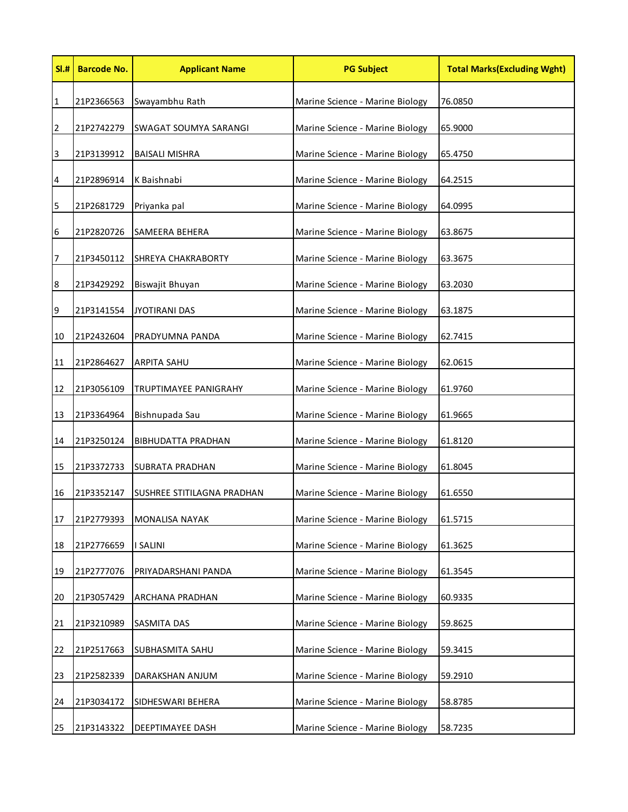| SI.#    | <b>Barcode No.</b> | <b>Applicant Name</b>      | <b>PG Subject</b>               | <b>Total Marks(Excluding Wght)</b> |
|---------|--------------------|----------------------------|---------------------------------|------------------------------------|
| 1       | 21P2366563         | Swayambhu Rath             | Marine Science - Marine Biology | 76.0850                            |
| 2       | 21P2742279         | SWAGAT SOUMYA SARANGI      | Marine Science - Marine Biology | 65.9000                            |
| 3       | 21P3139912         | <b>BAISALI MISHRA</b>      | Marine Science - Marine Biology | 65.4750                            |
| 4       | 21P2896914         | K Baishnabi                | Marine Science - Marine Biology | 64.2515                            |
| 5       | 21P2681729         | Priyanka pal               | Marine Science - Marine Biology | 64.0995                            |
| 6       | 21P2820726         | SAMEERA BEHERA             | Marine Science - Marine Biology | 63.8675                            |
| 7       | 21P3450112         | SHREYA CHAKRABORTY         | Marine Science - Marine Biology | 63.3675                            |
| $\bf 8$ | 21P3429292         | Biswajit Bhuyan            | Marine Science - Marine Biology | 63.2030                            |
| 9       | 21P3141554         | <b>JYOTIRANI DAS</b>       | Marine Science - Marine Biology | 63.1875                            |
| 10      | 21P2432604         | PRADYUMNA PANDA            | Marine Science - Marine Biology | 62.7415                            |
| 11      | 21P2864627         | <b>ARPITA SAHU</b>         | Marine Science - Marine Biology | 62.0615                            |
| 12      | 21P3056109         | TRUPTIMAYEE PANIGRAHY      | Marine Science - Marine Biology | 61.9760                            |
| 13      | 21P3364964         | Bishnupada Sau             | Marine Science - Marine Biology | 61.9665                            |
| 14      | 21P3250124         | <b>BIBHUDATTA PRADHAN</b>  | Marine Science - Marine Biology | 61.8120                            |
| 15      | 21P3372733         | SUBRATA PRADHAN            | Marine Science - Marine Biology | 61.8045                            |
| 16      | 21P3352147         | SUSHREE STITILAGNA PRADHAN | Marine Science - Marine Biology | 61.6550                            |
| 17      | 21P2779393         | <b>MONALISA NAYAK</b>      | Marine Science - Marine Biology | 61.5715                            |
| 18      | 21P2776659         | <b>SALINI</b>              | Marine Science - Marine Biology | 61.3625                            |
| 19      | 21P2777076         | PRIYADARSHANI PANDA        | Marine Science - Marine Biology | 61.3545                            |
| 20      | 21P3057429         | ARCHANA PRADHAN            | Marine Science - Marine Biology | 60.9335                            |
| 21      | 21P3210989         | SASMITA DAS                | Marine Science - Marine Biology | 59.8625                            |
| 22      | 21P2517663         | SUBHASMITA SAHU            | Marine Science - Marine Biology | 59.3415                            |
| 23      | 21P2582339         | DARAKSHAN ANJUM            | Marine Science - Marine Biology | 59.2910                            |
| 24      | 21P3034172         | SIDHESWARI BEHERA          | Marine Science - Marine Biology | 58.8785                            |
| 25      | 21P3143322         | DEEPTIMAYEE DASH           | Marine Science - Marine Biology | 58.7235                            |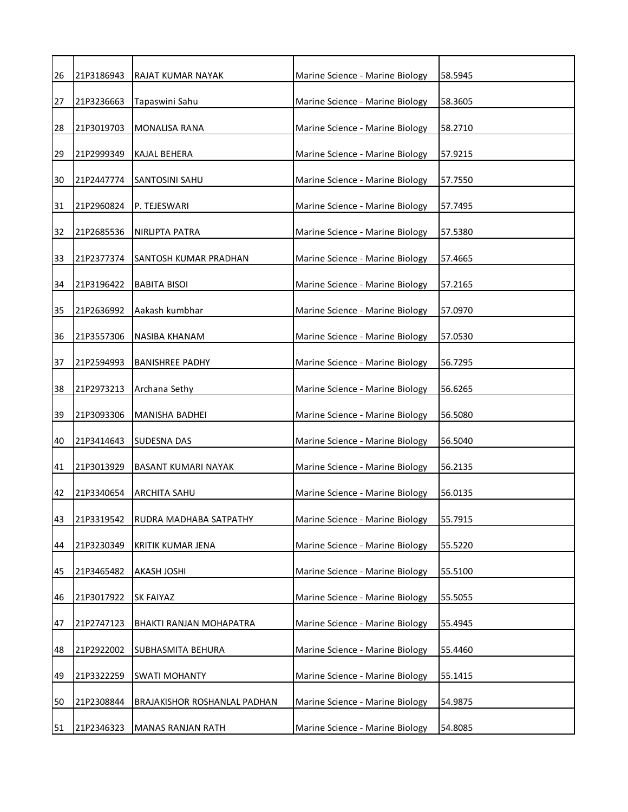| 26 | 21P3186943 | RAJAT KUMAR NAYAK              | Marine Science - Marine Biology | 58.5945 |
|----|------------|--------------------------------|---------------------------------|---------|
| 27 | 21P3236663 | Tapaswini Sahu                 | Marine Science - Marine Biology | 58.3605 |
| 28 | 21P3019703 | <b>MONALISA RANA</b>           | Marine Science - Marine Biology | 58.2710 |
| 29 | 21P2999349 | <b>KAJAL BEHERA</b>            | Marine Science - Marine Biology | 57.9215 |
| 30 | 21P2447774 | SANTOSINI SAHU                 | Marine Science - Marine Biology | 57.7550 |
| 31 | 21P2960824 | P. TEJESWARI                   | Marine Science - Marine Biology | 57.7495 |
| 32 | 21P2685536 | NIRLIPTA PATRA                 | Marine Science - Marine Biology | 57.5380 |
| 33 | 21P2377374 | SANTOSH KUMAR PRADHAN          | Marine Science - Marine Biology | 57.4665 |
| 34 | 21P3196422 | <b>BABITA BISOI</b>            | Marine Science - Marine Biology | 57.2165 |
| 35 | 21P2636992 | Aakash kumbhar                 | Marine Science - Marine Biology | 57.0970 |
| 36 | 21P3557306 | NASIBA KHANAM                  | Marine Science - Marine Biology | 57.0530 |
| 37 | 21P2594993 | <b>BANISHREE PADHY</b>         | Marine Science - Marine Biology | 56.7295 |
| 38 | 21P2973213 | Archana Sethy                  | Marine Science - Marine Biology | 56.6265 |
| 39 | 21P3093306 | MANISHA BADHEI                 | Marine Science - Marine Biology | 56.5080 |
| 40 | 21P3414643 | <b>SUDESNA DAS</b>             | Marine Science - Marine Biology | 56.5040 |
| 41 | 21P3013929 | <b>BASANT KUMARI NAYAK</b>     | Marine Science - Marine Biology | 56.2135 |
| 42 | 21P3340654 | <b>ARCHITA SAHU</b>            | Marine Science - Marine Biology | 56.0135 |
| 43 | 21P3319542 | RUDRA MADHABA SATPATHY         | Marine Science - Marine Biology | 55.7915 |
| 44 | 21P3230349 | KRITIK KUMAR JENA              | Marine Science - Marine Biology | 55.5220 |
| 45 | 21P3465482 | <b>AKASH JOSHI</b>             | Marine Science - Marine Biology | 55.5100 |
| 46 | 21P3017922 | <b>SK FAIYAZ</b>               | Marine Science - Marine Biology | 55.5055 |
| 47 | 21P2747123 | <b>BHAKTI RANJAN MOHAPATRA</b> | Marine Science - Marine Biology | 55.4945 |
| 48 | 21P2922002 | <b>SUBHASMITA BEHURA</b>       | Marine Science - Marine Biology | 55.4460 |
| 49 | 21P3322259 | <b>SWATI MOHANTY</b>           | Marine Science - Marine Biology | 55.1415 |
| 50 | 21P2308844 | BRAJAKISHOR ROSHANLAL PADHAN   | Marine Science - Marine Biology | 54.9875 |
| 51 | 21P2346323 | <b>MANAS RANJAN RATH</b>       | Marine Science - Marine Biology | 54.8085 |
|    |            |                                |                                 |         |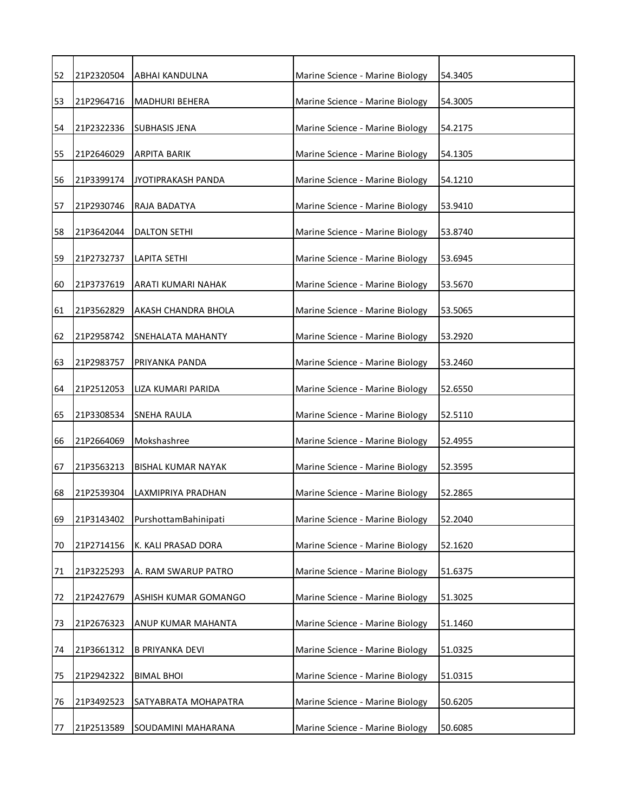| 52 | 21P2320504 | ABHAI KANDULNA            | Marine Science - Marine Biology | 54.3405 |
|----|------------|---------------------------|---------------------------------|---------|
| 53 | 21P2964716 | <b>MADHURI BEHERA</b>     | Marine Science - Marine Biology | 54.3005 |
| 54 | 21P2322336 | <b>SUBHASIS JENA</b>      | Marine Science - Marine Biology | 54.2175 |
| 55 | 21P2646029 | <b>ARPITA BARIK</b>       | Marine Science - Marine Biology | 54.1305 |
| 56 | 21P3399174 | JYOTIPRAKASH PANDA        | Marine Science - Marine Biology | 54.1210 |
| 57 | 21P2930746 | RAJA BADATYA              | Marine Science - Marine Biology | 53.9410 |
| 58 | 21P3642044 | DALTON SETHI              | Marine Science - Marine Biology | 53.8740 |
| 59 | 21P2732737 | LAPITA SETHI              | Marine Science - Marine Biology | 53.6945 |
| 60 | 21P3737619 | ARATI KUMARI NAHAK        | Marine Science - Marine Biology | 53.5670 |
| 61 | 21P3562829 | AKASH CHANDRA BHOLA       | Marine Science - Marine Biology | 53.5065 |
| 62 | 21P2958742 | SNEHALATA MAHANTY         | Marine Science - Marine Biology | 53.2920 |
| 63 | 21P2983757 | PRIYANKA PANDA            | Marine Science - Marine Biology | 53.2460 |
| 64 | 21P2512053 | LIZA KUMARI PARIDA        | Marine Science - Marine Biology | 52.6550 |
| 65 | 21P3308534 | <b>SNEHA RAULA</b>        | Marine Science - Marine Biology | 52.5110 |
| 66 | 21P2664069 | Mokshashree               | Marine Science - Marine Biology | 52.4955 |
| 67 | 21P3563213 | <b>BISHAL KUMAR NAYAK</b> | Marine Science - Marine Biology | 52.3595 |
| 68 | 21P2539304 | LAXMIPRIYA PRADHAN        | Marine Science - Marine Biology | 52.2865 |
| 69 | 21P3143402 | PurshottamBahinipati      | Marine Science - Marine Biology | 52.2040 |
| 70 | 21P2714156 | K. KALI PRASAD DORA       | Marine Science - Marine Biology | 52.1620 |
| 71 | 21P3225293 | A. RAM SWARUP PATRO       | Marine Science - Marine Biology | 51.6375 |
| 72 | 21P2427679 | ASHISH KUMAR GOMANGO      | Marine Science - Marine Biology | 51.3025 |
| 73 | 21P2676323 | ANUP KUMAR MAHANTA        | Marine Science - Marine Biology | 51.1460 |
| 74 | 21P3661312 | <b>B PRIYANKA DEVI</b>    | Marine Science - Marine Biology | 51.0325 |
| 75 | 21P2942322 | <b>BIMAL BHOI</b>         | Marine Science - Marine Biology | 51.0315 |
| 76 | 21P3492523 | SATYABRATA MOHAPATRA      | Marine Science - Marine Biology | 50.6205 |
| 77 | 21P2513589 | SOUDAMINI MAHARANA        | Marine Science - Marine Biology | 50.6085 |
|    |            |                           |                                 |         |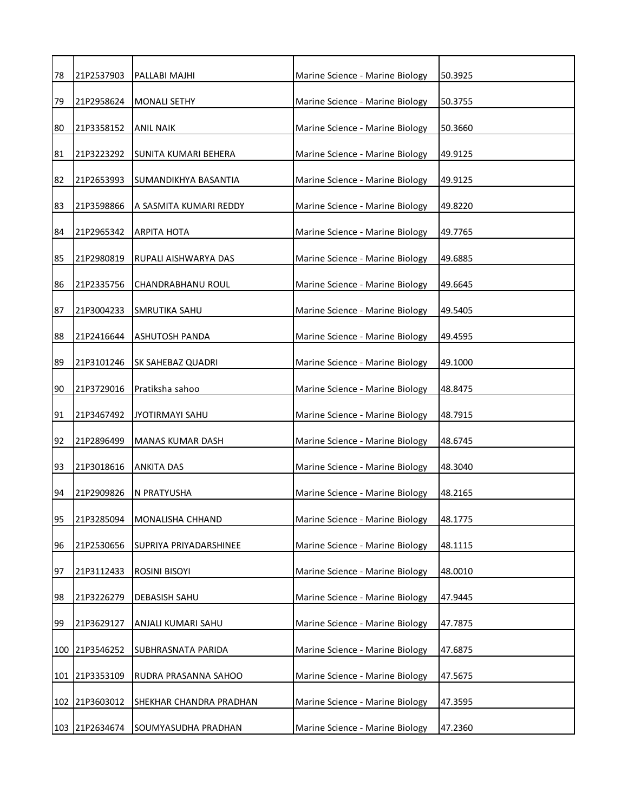| 78 | 21P2537903     | PALLABI MAJHI            | Marine Science - Marine Biology | 50.3925 |
|----|----------------|--------------------------|---------------------------------|---------|
| 79 | 21P2958624     | <b>MONALI SETHY</b>      | Marine Science - Marine Biology | 50.3755 |
| 80 | 21P3358152     | <b>ANIL NAIK</b>         | Marine Science - Marine Biology | 50.3660 |
| 81 | 21P3223292     | SUNITA KUMARI BEHERA     | Marine Science - Marine Biology | 49.9125 |
| 82 | 21P2653993     | SUMANDIKHYA BASANTIA     | Marine Science - Marine Biology | 49.9125 |
| 83 | 21P3598866     | A SASMITA KUMARI REDDY   | Marine Science - Marine Biology | 49.8220 |
| 84 | 21P2965342     | <b>ARPITA HOTA</b>       | Marine Science - Marine Biology | 49.7765 |
| 85 | 21P2980819     | RUPALI AISHWARYA DAS     | Marine Science - Marine Biology | 49.6885 |
| 86 | 21P2335756     | <b>CHANDRABHANU ROUL</b> | Marine Science - Marine Biology | 49.6645 |
| 87 | 21P3004233     | <b>SMRUTIKA SAHU</b>     | Marine Science - Marine Biology | 49.5405 |
| 88 | 21P2416644     | <b>ASHUTOSH PANDA</b>    | Marine Science - Marine Biology | 49.4595 |
| 89 | 21P3101246     | SK SAHEBAZ QUADRI        | Marine Science - Marine Biology | 49.1000 |
| 90 | 21P3729016     | Pratiksha sahoo          | Marine Science - Marine Biology | 48.8475 |
| 91 | 21P3467492     | <b>JYOTIRMAYI SAHU</b>   | Marine Science - Marine Biology | 48.7915 |
| 92 | 21P2896499     | <b>MANAS KUMAR DASH</b>  | Marine Science - Marine Biology | 48.6745 |
| 93 | 21P3018616     | <b>ANKITA DAS</b>        | Marine Science - Marine Biology | 48.3040 |
| 94 | 21P2909826     | N PRATYUSHA              | Marine Science - Marine Biology | 48.2165 |
| 95 | 21P3285094     | MONALISHA CHHAND         | Marine Science - Marine Biology | 48.1775 |
| 96 | 21P2530656     | SUPRIYA PRIYADARSHINEE   | Marine Science - Marine Biology | 48.1115 |
| 97 | 21P3112433     | ROSINI BISOYI            | Marine Science - Marine Biology | 48.0010 |
| 98 | 21P3226279     | <b>DEBASISH SAHU</b>     | Marine Science - Marine Biology | 47.9445 |
| 99 | 21P3629127     | ANJALI KUMARI SAHU       | Marine Science - Marine Biology | 47.7875 |
|    | 100 21P3546252 | SUBHRASNATA PARIDA       | Marine Science - Marine Biology | 47.6875 |
|    | 101 21P3353109 | RUDRA PRASANNA SAHOO     | Marine Science - Marine Biology | 47.5675 |
|    | 102 21P3603012 | SHEKHAR CHANDRA PRADHAN  | Marine Science - Marine Biology | 47.3595 |
|    | 103 21P2634674 | SOUMYASUDHA PRADHAN      | Marine Science - Marine Biology | 47.2360 |
|    |                |                          |                                 |         |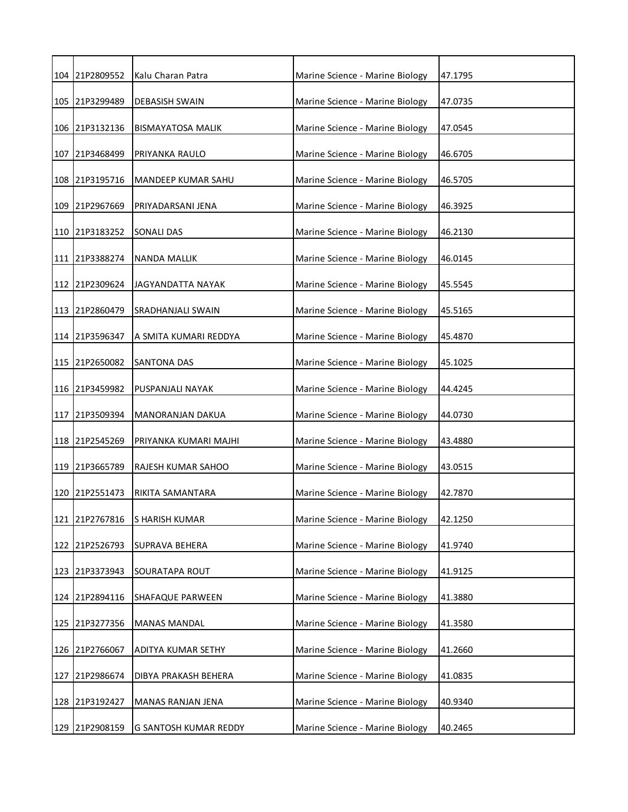|     | 104 21P2809552 | Kalu Charan Patra        | Marine Science - Marine Biology | 47.1795 |
|-----|----------------|--------------------------|---------------------------------|---------|
|     | 105 21P3299489 | <b>DEBASISH SWAIN</b>    | Marine Science - Marine Biology | 47.0735 |
|     | 106 21P3132136 | <b>BISMAYATOSA MALIK</b> | Marine Science - Marine Biology | 47.0545 |
|     | 107 21P3468499 | PRIYANKA RAULO           | Marine Science - Marine Biology | 46.6705 |
|     | 108 21P3195716 | MANDEEP KUMAR SAHU       | Marine Science - Marine Biology | 46.5705 |
|     | 109 21P2967669 | PRIYADARSANI JENA        | Marine Science - Marine Biology | 46.3925 |
|     | 110 21P3183252 | SONALI DAS               | Marine Science - Marine Biology | 46.2130 |
|     | 111 21P3388274 | <b>NANDA MALLIK</b>      | Marine Science - Marine Biology | 46.0145 |
|     | 112 21P2309624 | <b>JAGYANDATTA NAYAK</b> | Marine Science - Marine Biology | 45.5545 |
|     | 113 21P2860479 | SRADHANJALI SWAIN        | Marine Science - Marine Biology | 45.5165 |
|     | 114 21P3596347 | A SMITA KUMARI REDDYA    | Marine Science - Marine Biology | 45.4870 |
|     | 115 21P2650082 | SANTONA DAS              | Marine Science - Marine Biology | 45.1025 |
|     | 116 21P3459982 | PUSPANJALI NAYAK         | Marine Science - Marine Biology | 44.4245 |
|     | 117 21P3509394 | <b>MANORANJAN DAKUA</b>  | Marine Science - Marine Biology | 44.0730 |
|     | 118 21P2545269 | PRIYANKA KUMARI MAJHI    | Marine Science - Marine Biology | 43.4880 |
|     | 119 21P3665789 | RAJESH KUMAR SAHOO       | Marine Science - Marine Biology | 43.0515 |
|     | 120 21P2551473 | RIKITA SAMANTARA         | Marine Science - Marine Biology | 42.7870 |
|     | 121 21P2767816 | S HARISH KUMAR           | Marine Science - Marine Biology | 42.1250 |
|     | 122 21P2526793 | SUPRAVA BEHERA           | Marine Science - Marine Biology | 41.9740 |
| 123 | 21P3373943     | SOURATAPA ROUT           | Marine Science - Marine Biology | 41.9125 |
|     | 124 21P2894116 | SHAFAQUE PARWEEN         | Marine Science - Marine Biology | 41.3880 |
|     | 125 21P3277356 | <b>MANAS MANDAL</b>      | Marine Science - Marine Biology | 41.3580 |
|     | 126 21P2766067 | ADITYA KUMAR SETHY       | Marine Science - Marine Biology | 41.2660 |
| 127 | 21P2986674     | DIBYA PRAKASH BEHERA     | Marine Science - Marine Biology | 41.0835 |
|     | 128 21P3192427 | MANAS RANJAN JENA        | Marine Science - Marine Biology | 40.9340 |
|     | 129 21P2908159 | G SANTOSH KUMAR REDDY    | Marine Science - Marine Biology | 40.2465 |